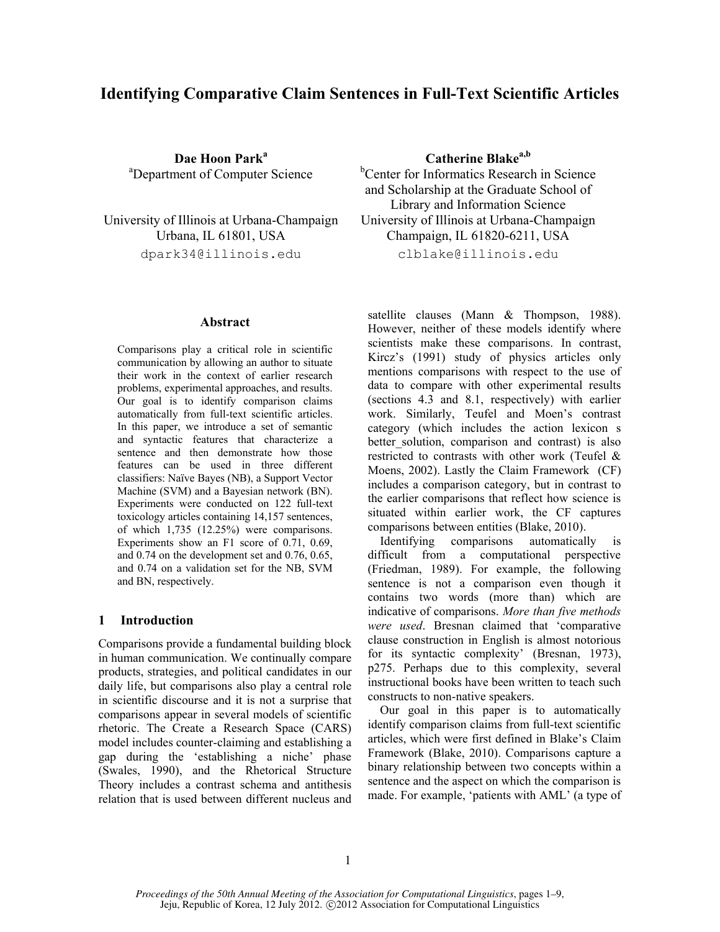# **Identifying Comparative Claim Sentences in Full-Text Scientific Articles**

**Dae Hoon Park<sup>a</sup> Catherine Blakea,b** <sup>a</sup>Department of Computer Science <sup>b</sup>Center for Informatics Research in Science

dpark34@illinois.edu clblake@illinois.edu

#### **Abstract**

Comparisons play a critical role in scientific communication by allowing an author to situate their work in the context of earlier research problems, experimental approaches, and results. Our goal is to identify comparison claims automatically from full-text scientific articles. In this paper, we introduce a set of semantic and syntactic features that characterize a sentence and then demonstrate how those features can be used in three different classifiers: Naïve Bayes (NB), a Support Vector Machine (SVM) and a Bayesian network (BN). Experiments were conducted on 122 full-text toxicology articles containing 14,157 sentences, of which 1,735 (12.25%) were comparisons. Experiments show an F1 score of 0.71, 0.69, and 0.74 on the development set and 0.76, 0.65, and 0.74 on a validation set for the NB, SVM and BN, respectively.

### **1 Introduction**

Comparisons provide a fundamental building block in human communication. We continually compare products, strategies, and political candidates in our daily life, but comparisons also play a central role in scientific discourse and it is not a surprise that comparisons appear in several models of scientific rhetoric. The Create a Research Space (CARS) model includes counter-claiming and establishing a gap during the "establishing a niche" phase (Swales, 1990), and the Rhetorical Structure Theory includes a contrast schema and antithesis relation that is used between different nucleus and

and Scholarship at the Graduate School of Library and Information Science University of Illinois at Urbana-Champaign University of Illinois at Urbana-Champaign Urbana, IL 61801, USA Champaign, IL 61820-6211, USA

satellite clauses (Mann & Thompson, 1988). However, neither of these models identify where scientists make these comparisons. In contrast, Kircz"s (1991) study of physics articles only mentions comparisons with respect to the use of data to compare with other experimental results (sections 4.3 and 8.1, respectively) with earlier work. Similarly, Teufel and Moen's contrast category (which includes the action lexicon s better solution, comparison and contrast) is also restricted to contrasts with other work (Teufel & Moens, 2002). Lastly the Claim Framework (CF) includes a comparison category, but in contrast to the earlier comparisons that reflect how science is situated within earlier work, the CF captures comparisons between entities (Blake, 2010).

 Identifying comparisons automatically is difficult from a computational perspective (Friedman, 1989). For example, the following sentence is not a comparison even though it contains two words (more than) which are indicative of comparisons. *More than five methods were used*. Bresnan claimed that "comparative clause construction in English is almost notorious for its syntactic complexity' (Bresnan, 1973), p275. Perhaps due to this complexity, several instructional books have been written to teach such constructs to non-native speakers.

 Our goal in this paper is to automatically identify comparison claims from full-text scientific articles, which were first defined in Blake"s Claim Framework (Blake, 2010). Comparisons capture a binary relationship between two concepts within a sentence and the aspect on which the comparison is made. For example, 'patients with AML' (a type of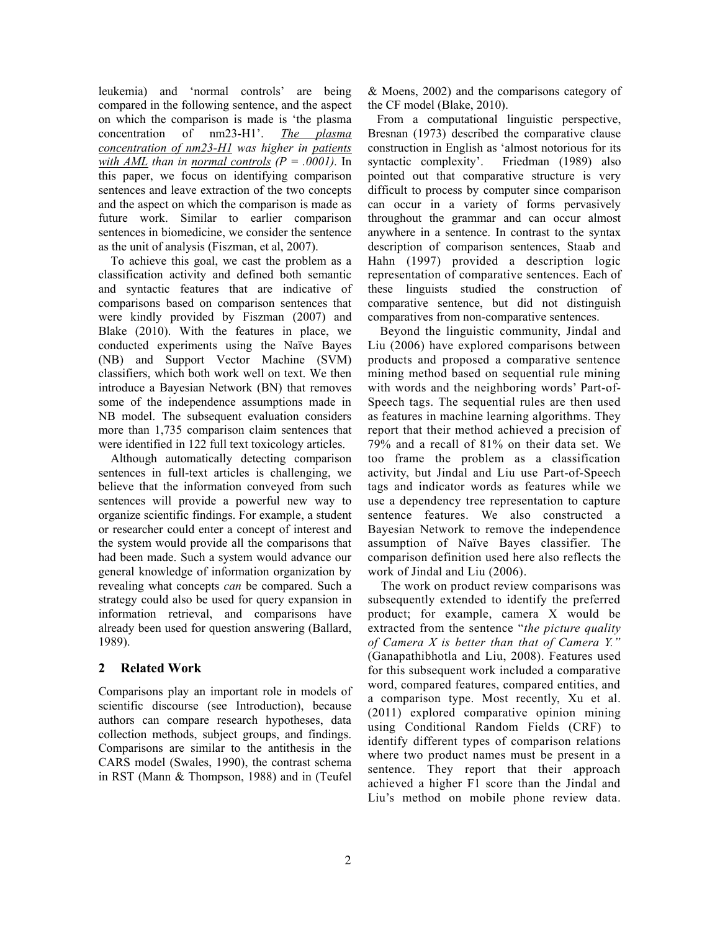leukemia) and "normal controls" are being compared in the following sentence, and the aspect on which the comparison is made is "the plasma concentration of nm23-H1". *The plasma concentration of nm23-H1 was higher in patients with AML than in normal controls (P = .0001).* In this paper, we focus on identifying comparison sentences and leave extraction of the two concepts and the aspect on which the comparison is made as future work. Similar to earlier comparison sentences in biomedicine, we consider the sentence as the unit of analysis (Fiszman, et al, 2007).

 To achieve this goal, we cast the problem as a classification activity and defined both semantic and syntactic features that are indicative of comparisons based on comparison sentences that were kindly provided by Fiszman (2007) and Blake (2010). With the features in place, we conducted experiments using the Naïve Bayes (NB) and Support Vector Machine (SVM) classifiers, which both work well on text. We then introduce a Bayesian Network (BN) that removes some of the independence assumptions made in NB model. The subsequent evaluation considers more than 1,735 comparison claim sentences that were identified in 122 full text toxicology articles.

 Although automatically detecting comparison sentences in full-text articles is challenging, we believe that the information conveyed from such sentences will provide a powerful new way to organize scientific findings. For example, a student or researcher could enter a concept of interest and the system would provide all the comparisons that had been made. Such a system would advance our general knowledge of information organization by revealing what concepts *can* be compared. Such a strategy could also be used for query expansion in information retrieval, and comparisons have already been used for question answering (Ballard, 1989).

# **2 Related Work**

Comparisons play an important role in models of scientific discourse (see Introduction), because authors can compare research hypotheses, data collection methods, subject groups, and findings. Comparisons are similar to the antithesis in the CARS model (Swales, 1990), the contrast schema in RST (Mann & Thompson, 1988) and in (Teufel

& Moens, 2002) and the comparisons category of the CF model (Blake, 2010).

 From a computational linguistic perspective, Bresnan (1973) described the comparative clause construction in English as "almost notorious for its syntactic complexity'. Friedman (1989) also pointed out that comparative structure is very difficult to process by computer since comparison can occur in a variety of forms pervasively throughout the grammar and can occur almost anywhere in a sentence. In contrast to the syntax description of comparison sentences, Staab and Hahn (1997) provided a description logic representation of comparative sentences. Each of these linguists studied the construction of comparative sentence, but did not distinguish comparatives from non-comparative sentences.

 Beyond the linguistic community, Jindal and Liu (2006) have explored comparisons between products and proposed a comparative sentence mining method based on sequential rule mining with words and the neighboring words' Part-of-Speech tags. The sequential rules are then used as features in machine learning algorithms. They report that their method achieved a precision of 79% and a recall of 81% on their data set. We too frame the problem as a classification activity, but Jindal and Liu use Part-of-Speech tags and indicator words as features while we use a dependency tree representation to capture sentence features. We also constructed a Bayesian Network to remove the independence assumption of Naïve Bayes classifier. The comparison definition used here also reflects the work of Jindal and Liu (2006).

 The work on product review comparisons was subsequently extended to identify the preferred product; for example, camera X would be extracted from the sentence "*the picture quality of Camera X is better than that of Camera Y."* (Ganapathibhotla and Liu, 2008). Features used for this subsequent work included a comparative word, compared features, compared entities, and a comparison type. Most recently, Xu et al. (2011) explored comparative opinion mining using Conditional Random Fields (CRF) to identify different types of comparison relations where two product names must be present in a sentence. They report that their approach achieved a higher F1 score than the Jindal and Liu"s method on mobile phone review data.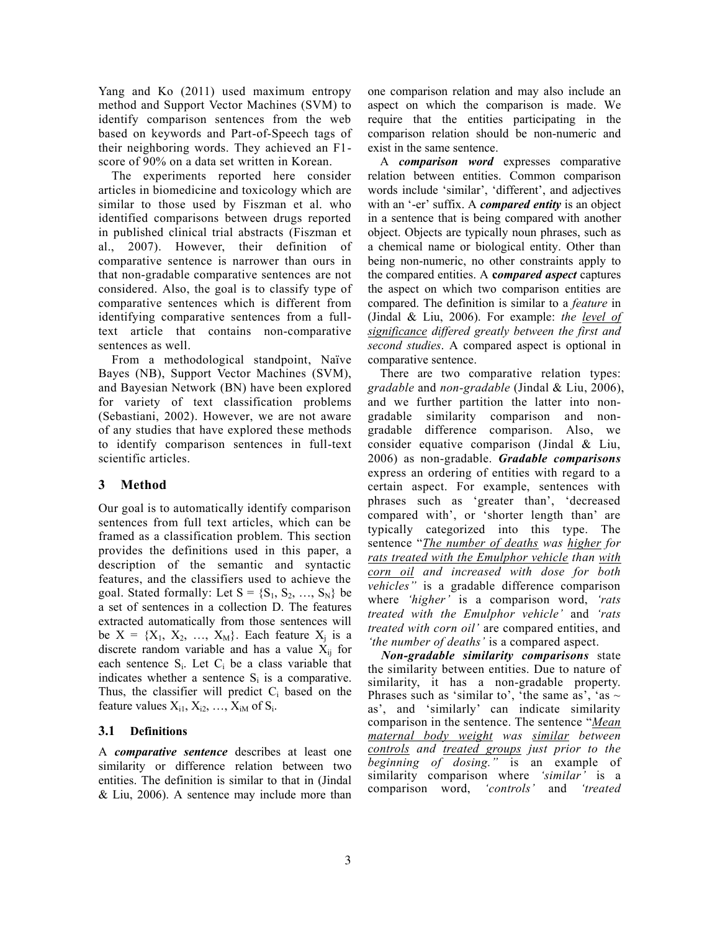Yang and Ko (2011) used maximum entropy method and Support Vector Machines (SVM) to identify comparison sentences from the web based on keywords and Part-of-Speech tags of their neighboring words. They achieved an F1 score of 90% on a data set written in Korean.

 The experiments reported here consider articles in biomedicine and toxicology which are similar to those used by Fiszman et al. who identified comparisons between drugs reported in published clinical trial abstracts (Fiszman et al., 2007). However, their definition of comparative sentence is narrower than ours in that non-gradable comparative sentences are not considered. Also, the goal is to classify type of comparative sentences which is different from identifying comparative sentences from a fulltext article that contains non-comparative sentences as well.

 From a methodological standpoint, Naïve Bayes (NB), Support Vector Machines (SVM), and Bayesian Network (BN) have been explored for variety of text classification problems (Sebastiani, 2002). However, we are not aware of any studies that have explored these methods to identify comparison sentences in full-text scientific articles.

# **3 Method**

Our goal is to automatically identify comparison sentences from full text articles, which can be framed as a classification problem. This section provides the definitions used in this paper, a description of the semantic and syntactic features, and the classifiers used to achieve the goal. Stated formally: Let  $S = \{S_1, S_2, ..., S_N\}$  be a set of sentences in a collection D. The features extracted automatically from those sentences will be  $X = \{X_1, X_2, \ldots, X_M\}$ . Each feature  $X_i$  is a discrete random variable and has a value  $\bar{X}_{ii}$  for each sentence  $S_i$ . Let  $C_i$  be a class variable that indicates whether a sentence  $S_i$  is a comparative. Thus, the classifier will predict  $C_i$  based on the feature values  $X_{i1}$ ,  $X_{i2}$ , ...,  $X_{iM}$  of  $S_i$ .

# **3.1 Definitions**

A *comparative sentence* describes at least one similarity or difference relation between two entities. The definition is similar to that in (Jindal & Liu, 2006). A sentence may include more than

one comparison relation and may also include an aspect on which the comparison is made. We require that the entities participating in the comparison relation should be non-numeric and exist in the same sentence.

 A *comparison word* expresses comparative relation between entities. Common comparison words include 'similar', 'different', and adjectives with an '-er' suffix. A *compared entity* is an object in a sentence that is being compared with another object. Objects are typically noun phrases, such as a chemical name or biological entity. Other than being non-numeric, no other constraints apply to the compared entities. A **c***ompared aspect* captures the aspect on which two comparison entities are compared. The definition is similar to a *feature* in (Jindal & Liu, 2006). For example: *the level of significance differed greatly between the first and second studies*. A compared aspect is optional in comparative sentence.

 There are two comparative relation types: *gradable* and *non-gradable* (Jindal & Liu, 2006), and we further partition the latter into nongradable similarity comparison and nongradable difference comparison. Also, we consider equative comparison (Jindal & Liu, 2006) as non-gradable. *Gradable comparisons* express an ordering of entities with regard to a certain aspect. For example, sentences with phrases such as "greater than", "decreased compared with', or 'shorter length than' are typically categorized into this type. The sentence "*The number of deaths was higher for rats treated with the Emulphor vehicle than with corn oil and increased with dose for both vehicles"* is a gradable difference comparison where *'higher'* is a comparison word, *'rats treated with the Emulphor vehicle'* and *'rats treated with corn oil'* are compared entities, and *'the number of deaths'* is a compared aspect.

 *Non-gradable similarity comparisons* state the similarity between entities. Due to nature of similarity, it has a non-gradable property. Phrases such as 'similar to', 'the same as', 'as  $\sim$ as', and 'similarly' can indicate similarity comparison in the sentence. The sentence "*Mean maternal body weight was similar between controls and treated groups just prior to the beginning of dosing."* is an example of similarity comparison where *'similar'* is a comparison word, *'controls'* and *'treated*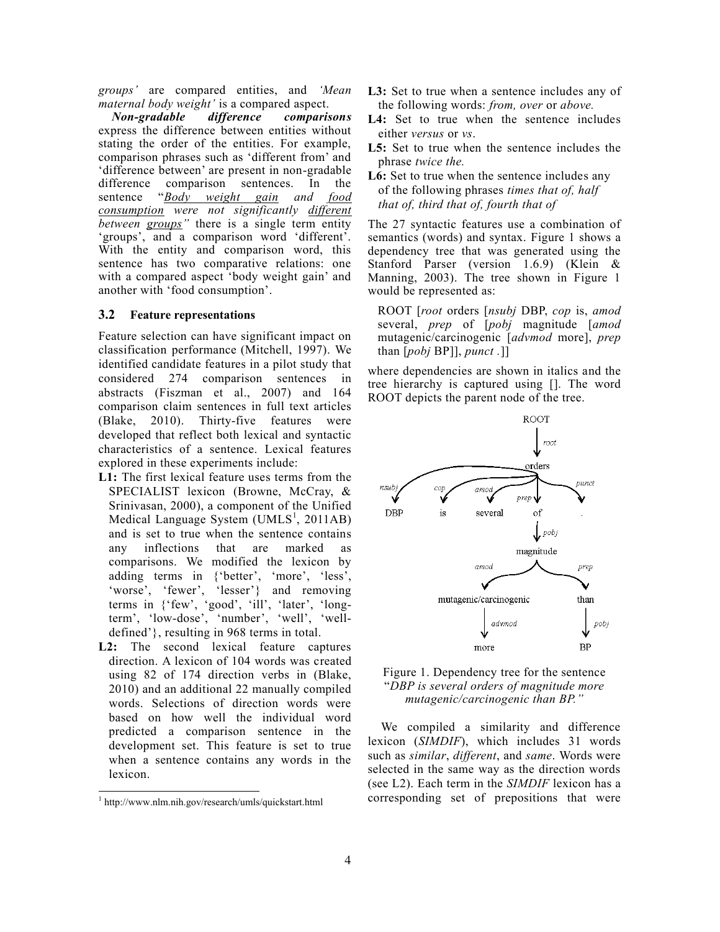*groups'* are compared entities, and *'Mean maternal body weight'* is a compared aspect.

 *Non-gradable difference comparisons* express the difference between entities without stating the order of the entities. For example, comparison phrases such as "different from" and "difference between" are present in non-gradable difference comparison sentences. In the sentence "*Body weight gain and food consumption were not significantly different between groups"* there is a single term entity 'groups', and a comparison word 'different'. With the entity and comparison word, this sentence has two comparative relations: one with a compared aspect 'body weight gain' and another with "food consumption".

#### **3.2 Feature representations**

Feature selection can have significant impact on classification performance (Mitchell, 1997). We identified candidate features in a pilot study that considered 274 comparison sentences in abstracts (Fiszman et al., 2007) and 164 comparison claim sentences in full text articles (Blake, 2010). Thirty-five features were developed that reflect both lexical and syntactic characteristics of a sentence. Lexical features explored in these experiments include:

- **L1:** The first lexical feature uses terms from the SPECIALIST lexicon (Browne, McCray, & Srinivasan, 2000), a component of the Unified Medical Language System (UMLS<sup>1</sup>, 2011AB) and is set to true when the sentence contains any inflections that are marked as comparisons. We modified the lexicon by adding terms in {'better', 'more', 'less', 'worse', 'fewer', 'lesser'} and removing terms in {'few', 'good', 'ill', 'later', 'longterm', 'low-dose', 'number', 'well', 'welldefined"}, resulting in 968 terms in total.
- **L2:** The second lexical feature captures direction. A lexicon of 104 words was created using 82 of 174 direction verbs in (Blake, 2010) and an additional 22 manually compiled words. Selections of direction words were based on how well the individual word predicted a comparison sentence in the development set. This feature is set to true when a sentence contains any words in the lexicon.

l

- L3: Set to true when a sentence includes any of the following words: *from, over* or *above.*
- L<sub>4</sub>: Set to true when the sentence includes either *versus* or *vs*.
- **L5:** Set to true when the sentence includes the phrase *twice the.*
- L6: Set to true when the sentence includes any of the following phrases *times that of, half that of, third that of, fourth that of*

The 27 syntactic features use a combination of semantics (words) and syntax. Figure 1 shows a dependency tree that was generated using the Stanford Parser (version 1.6.9) (Klein & Manning, 2003). The tree shown in Figure 1 would be represented as:

ROOT [*root* orders [*nsubj* DBP, *cop* is, *amod* several, *prep* of [*pobj* magnitude [*amod* mutagenic/carcinogenic [*advmod* more], *prep* than [*pobj* BP]], *punct .*]]

where dependencies are shown in italics and the tree hierarchy is captured using []. The word ROOT depicts the parent node of the tree.



Figure 1. Dependency tree for the sentence "*DBP is several orders of magnitude more mutagenic/carcinogenic than BP."*

 We compiled a similarity and difference lexicon (*SIMDIF*), which includes 31 words such as *similar*, *different*, and *same*. Words were selected in the same way as the direction words (see L2). Each term in the *SIMDIF* lexicon has a corresponding set of prepositions that were

<sup>1</sup> http://www.nlm.nih.gov/research/umls/quickstart.html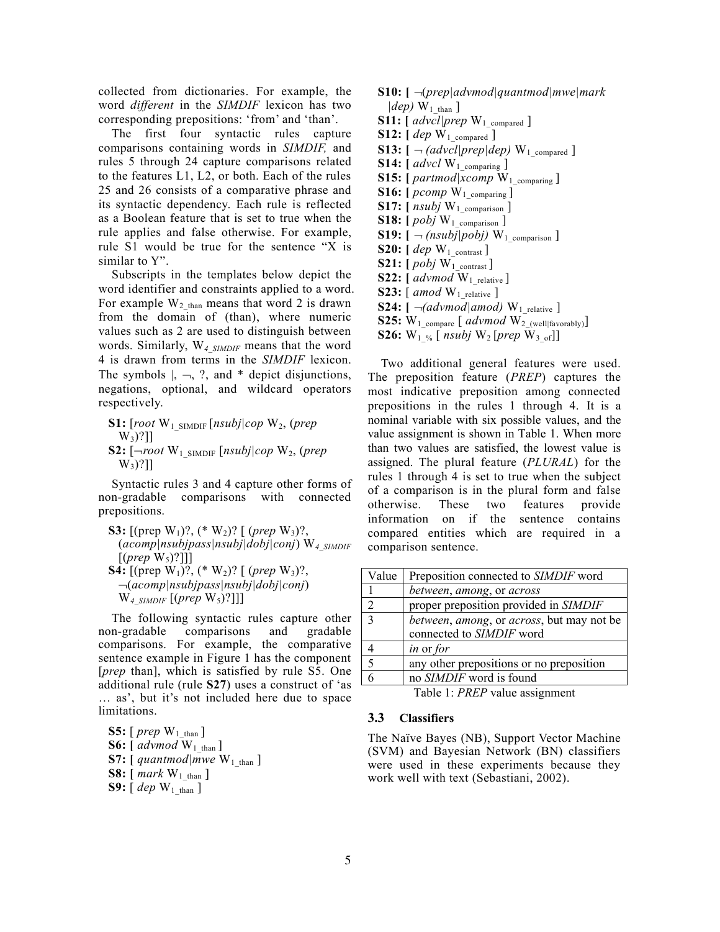collected from dictionaries. For example, the word *different* in the *SIMDIF* lexicon has two corresponding prepositions: 'from' and 'than'.

 The first four syntactic rules capture comparisons containing words in *SIMDIF,* and rules 5 through 24 capture comparisons related to the features L1, L2, or both. Each of the rules 25 and 26 consists of a comparative phrase and its syntactic dependency. Each rule is reflected as a Boolean feature that is set to true when the rule applies and false otherwise. For example, rule S1 would be true for the sentence "X is similar to Y".

 Subscripts in the templates below depict the word identifier and constraints applied to a word. For example  $W_2$ <sub>than</sub> means that word 2 is drawn from the domain of (than), where numeric values such as 2 are used to distinguish between words. Similarly, W*4\_SIMDIF* means that the word 4 is drawn from terms in the *SIMDIF* lexicon. The symbols  $\vert, \neg, ?$ , and  $*$  depict disjunctions, negations, optional, and wildcard operators respectively.

**S1:** [*root* W1\_SIMDIF [*nsubj|cop* W2, (*prep*  $W_3$ ?]] **S2:** [*root* W1\_SIMDIF [*nsubj|cop* W2, (*prep*  $W_3$ ?]]

 Syntactic rules 3 and 4 capture other forms of non-gradable comparisons with connected prepositions.

**S3:** [(prep W1)?, (\* W2)? [ (*prep* W3)?, (*acomp|nsubjpass|nsubj|dobj|conj*) W*4\_SIMDIF*  $[(prep W<sub>5</sub>)?]$ **S4:**  $[(\text{prep } W_1)$ ?,  $(* W_2)$ ?  $[(\text{prep } W_3)$ ?, (*acomp|nsubjpass|nsubj|dobj|conj*)  $W_4$ <sub>SIMDIF</sub> [(*prep*  $W_5$ )?]]]

 The following syntactic rules capture other non-gradable comparisons and gradable comparisons. For example, the comparative sentence example in Figure 1 has the component [*prep* than], which is satisfied by rule S5. One additional rule (rule **S27**) uses a construct of "as … as", but it"s not included here due to space limitations.

**S5:**  $[$ *prep*  $W_1$ <sub>than</sub>  $]$ **S6:**  $\left[ \text{advmod } W_1 \right]$ **S7:**  $\int$ *quantmod* $\vert$ *mwe* W<sub>1</sub> than  $\vert$ **S8:**  $[mark W<sub>1</sub>_{than}]$ **S9:**  $[$  *dep*  $W_1$  than ]

- **S10: [** (*prep|advmod|quantmod|mwe|mark*  $|dep) W<sub>1</sub>$ <sub>than</sub> ]
- **S11:**  $\int$  *advcl* | *prep* W<sub>1</sub> compared ]
- **S12:**  $[$  *dep*  $W_1$  compared  $]$
- **S13:**  $\left[ \neg (advcl|prep|dep) \mathbf{W}_1 \right]$  compared ]
- **S14:** [  $advcl$  W<sub>1\_comparing</sub> ] **S15:**  $[partmod|xcomp W_1_{comparing}]$
- **S16:**  $[$ *pcomp*  $W_1$ <sub>comparing ]</sub>
- **S17:**  $[$  *nsubj*  $W_1$ <sub>comparison ]</sub>
- **S18:**  $[ \textit{pobj W}_1 \text{ comparison } ]$
- **S19:**  $\lceil \neg$  *(nsubj*|*pobj*)  $W_1$  comparison ]
- **S20:** [ *dep* W<sub>1</sub> contrast ]
- **S21:**  $[ \text{pobj W}_1 \text{ contrast} ]$
- **S22:**  $\left[$  *advmod*  $W_1$   $_{relative}$   $\right]$
- **S23:** [ *amod* W1\_relative ]
- **S24:**  $\lceil \neg (advmod | amod) \, W_{1}\rceil$  relative ]
- **S25:**  $W_1$  compare [  $advmod W_2$  (well|favorably)]
- **S26:**  $W_1$  % [ *nsubj*  $W_2$  [*prep*  $W_3$  <sub>of</sub>]]

 Two additional general features were used. The preposition feature (*PREP*) captures the most indicative preposition among connected prepositions in the rules 1 through 4. It is a nominal variable with six possible values, and the value assignment is shown in Table 1. When more than two values are satisfied, the lowest value is assigned. The plural feature (*PLURAL*) for the rules 1 through 4 is set to true when the subject of a comparison is in the plural form and false otherwise. These two features provide information on if the sentence contains compared entities which are required in a comparison sentence.

| Value | Preposition connected to <i>SIMDIF</i> word |
|-------|---------------------------------------------|
|       | between, among, or across                   |
| 2     | proper preposition provided in SIMDIF       |
| 3     | between, among, or across, but may not be   |
|       | connected to SIMDIF word                    |
|       | <i>in</i> or <i>for</i>                     |
| 5     | any other prepositions or no preposition    |
|       | no SIMDIF word is found                     |

Table 1: *PREP* value assignment

#### **3.3 Classifiers**

The Naïve Bayes (NB), Support Vector Machine (SVM) and Bayesian Network (BN) classifiers were used in these experiments because they work well with text (Sebastiani, 2002).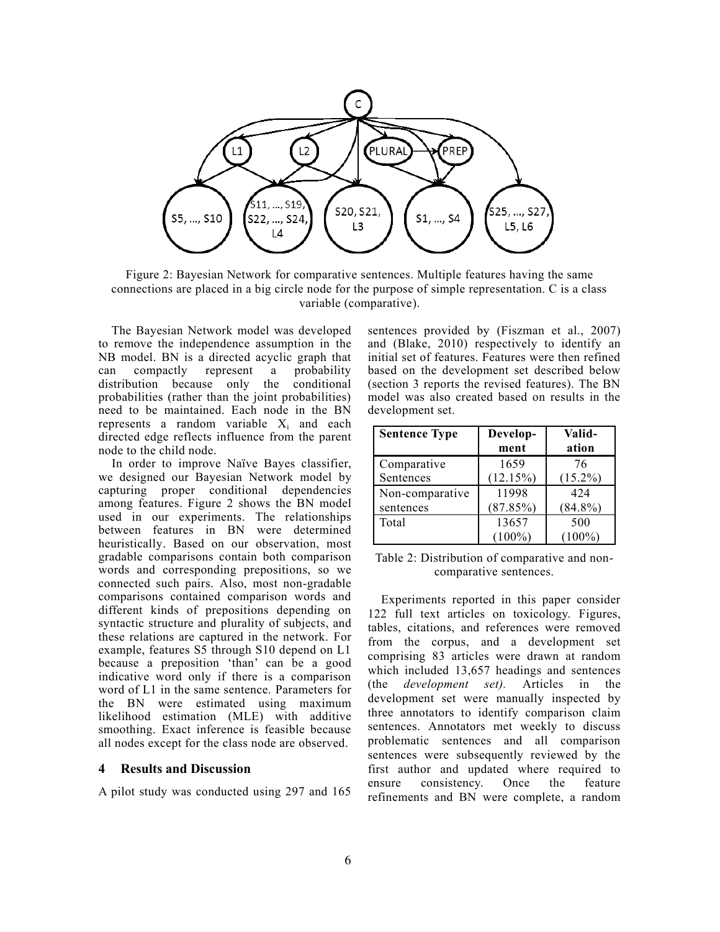

Figure 2: Bayesian Network for comparative sentences. Multiple features having the same connections are placed in a big circle node for the purpose of simple representation. C is a class variable (comparative).

 The Bayesian Network model was developed to remove the independence assumption in the NB model. BN is a directed acyclic graph that can compactly represent a probability distribution because only the conditional probabilities (rather than the joint probabilities) need to be maintained. Each node in the BN represents a random variable  $X_i$  and each directed edge reflects influence from the parent node to the child node.

 In order to improve Naïve Bayes classifier, we designed our Bayesian Network model by capturing proper conditional dependencies among features. Figure 2 shows the BN model used in our experiments. The relationships between features in BN were determined heuristically. Based on our observation, most gradable comparisons contain both comparison words and corresponding prepositions, so we connected such pairs. Also, most non-gradable comparisons contained comparison words and different kinds of prepositions depending on syntactic structure and plurality of subjects, and these relations are captured in the network. For example, features S5 through S10 depend on L1 because a preposition "than" can be a good indicative word only if there is a comparison word of L1 in the same sentence. Parameters for the BN were estimated using maximum likelihood estimation (MLE) with additive smoothing. Exact inference is feasible because all nodes except for the class node are observed.

#### **4 Results and Discussion**

A pilot study was conducted using 297 and 165

sentences provided by (Fiszman et al., 2007) and (Blake, 2010) respectively to identify an initial set of features. Features were then refined based on the development set described below (section 3 reports the revised features). The BN model was also created based on results in the development set.

| <b>Sentence Type</b> | Develop-<br>ment | Valid-<br>ation |
|----------------------|------------------|-----------------|
| Comparative          | 1659             | 76              |
| Sentences            | (12.15%)         | $(15.2\%)$      |
| Non-comparative      | 11998            | 424             |
| sentences            | (87.85%)         | $(84.8\%)$      |
| Total                | 13657            | 500             |
|                      | $(100\%)$        | $100\%$         |

Table 2: Distribution of comparative and noncomparative sentences.

 Experiments reported in this paper consider 122 full text articles on toxicology. Figures, tables, citations, and references were removed from the corpus, and a development set comprising 83 articles were drawn at random which included 13,657 headings and sentences (the *development set).* Articles in the development set were manually inspected by three annotators to identify comparison claim sentences. Annotators met weekly to discuss problematic sentences and all comparison sentences were subsequently reviewed by the first author and updated where required to ensure consistency. Once the feature refinements and BN were complete, a random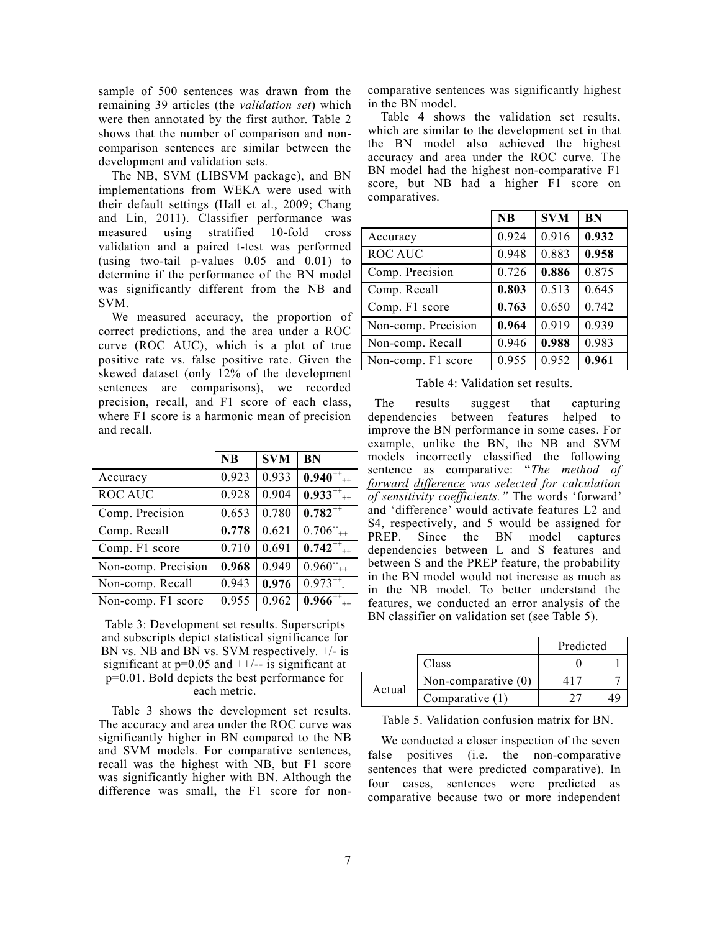sample of 500 sentences was drawn from the remaining 39 articles (the *validation set*) which were then annotated by the first author. Table 2 shows that the number of comparison and noncomparison sentences are similar between the development and validation sets.

 The NB, SVM (LIBSVM package), and BN implementations from WEKA were used with their default settings (Hall et al., 2009; Chang and Lin, 2011). Classifier performance was measured using stratified 10-fold cross validation and a paired t-test was performed (using two-tail p-values 0.05 and 0.01) to determine if the performance of the BN model was significantly different from the NB and SVM.

 We measured accuracy, the proportion of correct predictions, and the area under a ROC curve (ROC AUC), which is a plot of true positive rate vs. false positive rate. Given the skewed dataset (only 12% of the development sentences are comparisons), we recorded precision, recall, and F1 score of each class, where F1 score is a harmonic mean of precision and recall.

|                     | <b>NB</b> | <b>SVM</b> | <b>BN</b>    |
|---------------------|-----------|------------|--------------|
| Accuracy            | 0.923     | 0.933      | $0.940^{++}$ |
| <b>ROC AUC</b>      | 0.928     | 0.904      | $0.933^{++}$ |
| Comp. Precision     | 0.653     | 0.780      | $0.782^{++}$ |
| Comp. Recall        | 0.778     | 0.621      | $0.706^{+}$  |
| Comp. F1 score      | 0.710     | 0.691      | $0.742^{++}$ |
| Non-comp. Precision | 0.968     | 0.949      | $0.960^{+}$  |
| Non-comp. Recall    | 0.943     | 0.976      | $0.973^{++}$ |
| Non-comp. F1 score  | 0.955     | 0.962      | $0.966^{++}$ |

Table 3: Development set results. Superscripts and subscripts depict statistical significance for BN vs. NB and BN vs. SVM respectively. +/- is significant at  $p=0.05$  and  $++/-$  is significant at p=0.01. Bold depicts the best performance for each metric.

 Table 3 shows the development set results. The accuracy and area under the ROC curve was significantly higher in BN compared to the NB and SVM models. For comparative sentences, recall was the highest with NB, but F1 score was significantly higher with BN. Although the difference was small, the F1 score for noncomparative sentences was significantly highest in the BN model.

 Table 4 shows the validation set results, which are similar to the development set in that the BN model also achieved the highest accuracy and area under the ROC curve. The BN model had the highest non-comparative F1 score, but NB had a higher F1 score on comparatives.

|                     | <b>NB</b> | <b>SVM</b> | BN    |
|---------------------|-----------|------------|-------|
| Accuracy            | 0.924     | 0.916      | 0.932 |
| <b>ROC AUC</b>      | 0.948     | 0.883      | 0.958 |
| Comp. Precision     | 0.726     | 0.886      | 0.875 |
| Comp. Recall        | 0.803     | 0.513      | 0.645 |
| Comp. F1 score      | 0.763     | 0.650      | 0.742 |
| Non-comp. Precision | 0.964     | 0.919      | 0.939 |
| Non-comp. Recall    | 0.946     | 0.988      | 0.983 |
| Non-comp. F1 score  | 0.955     | 0.952      | 0.961 |

Table 4: Validation set results.

The results suggest that capturing dependencies between features helped to improve the BN performance in some cases. For example, unlike the BN, the NB and SVM models incorrectly classified the following sentence as comparative: "*The method of forward difference was selected for calculation of sensitivity coefficients."* The words "forward" and "difference" would activate features L2 and S4, respectively, and 5 would be assigned for PREP. Since the BN model captures dependencies between L and S features and between S and the PREP feature, the probability in the BN model would not increase as much as in the NB model. To better understand the features, we conducted an error analysis of the BN classifier on validation set (see Table 5).

|        |                       | Predicted |  |
|--------|-----------------------|-----------|--|
|        | Class                 |           |  |
| Actual | Non-comparative $(0)$ |           |  |
|        | Comparative (1)       |           |  |

Table 5. Validation confusion matrix for BN.

 We conducted a closer inspection of the seven false positives (i.e. the non-comparative sentences that were predicted comparative). In four cases, sentences were predicted as comparative because two or more independent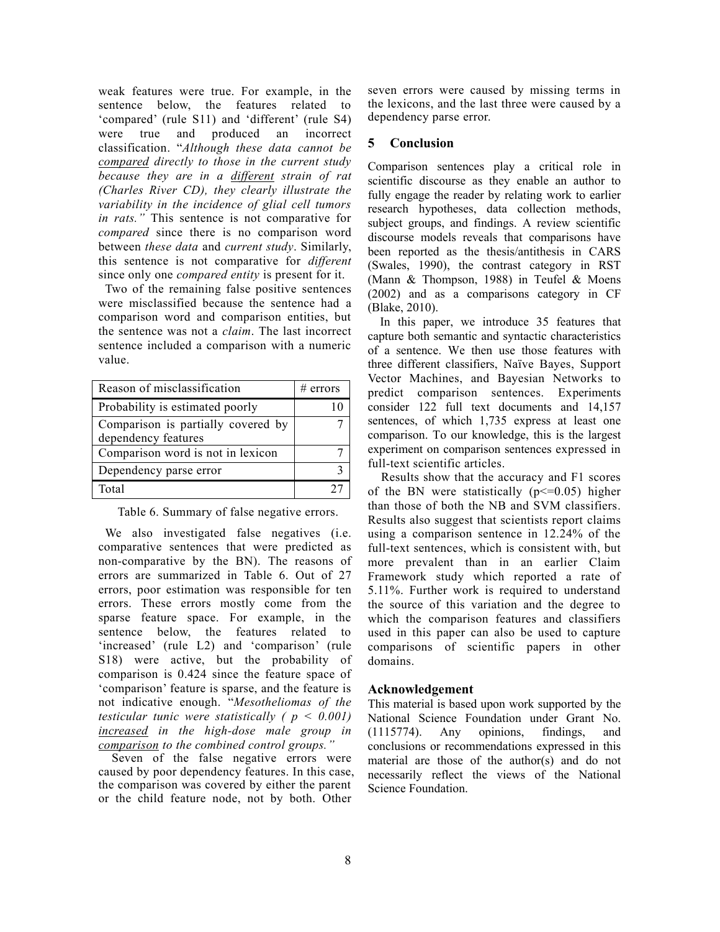weak features were true. For example, in the sentence below, the features related to "compared" (rule S11) and "different" (rule S4) were true and produced an incorrect classification. "*Although these data cannot be compared directly to those in the current study because they are in a different strain of rat (Charles River CD), they clearly illustrate the variability in the incidence of glial cell tumors in rats."* This sentence is not comparative for *compared* since there is no comparison word between *these data* and *current study*. Similarly, this sentence is not comparative for *different* since only one *compared entity* is present for it.

Two of the remaining false positive sentences were misclassified because the sentence had a comparison word and comparison entities, but the sentence was not a *claim*. The last incorrect sentence included a comparison with a numeric value.

| Reason of misclassification        | $#$ errors |
|------------------------------------|------------|
| Probability is estimated poorly    |            |
| Comparison is partially covered by |            |
| dependency features                |            |
| Comparison word is not in lexicon  |            |
| Dependency parse error             |            |
| Total                              |            |

Table 6. Summary of false negative errors.

We also investigated false negatives (i.e. comparative sentences that were predicted as non-comparative by the BN). The reasons of errors are summarized in Table 6. Out of 27 errors, poor estimation was responsible for ten errors. These errors mostly come from the sparse feature space. For example, in the sentence below, the features related to 'increased' (rule L2) and 'comparison' (rule S18) were active, but the probability of comparison is 0.424 since the feature space of "comparison" feature is sparse, and the feature is not indicative enough. "*Mesotheliomas of the testicular tunic were statistically ( p < 0.001) increased in the high-dose male group in comparison to the combined control groups."*

 Seven of the false negative errors were caused by poor dependency features. In this case, the comparison was covered by either the parent or the child feature node, not by both. Other

seven errors were caused by missing terms in the lexicons, and the last three were caused by a dependency parse error.

### **5 Conclusion**

Comparison sentences play a critical role in scientific discourse as they enable an author to fully engage the reader by relating work to earlier research hypotheses, data collection methods, subject groups, and findings. A review scientific discourse models reveals that comparisons have been reported as the thesis/antithesis in CARS (Swales, 1990), the contrast category in RST (Mann & Thompson, 1988) in Teufel & Moens (2002) and as a comparisons category in CF (Blake, 2010).

 In this paper, we introduce 35 features that capture both semantic and syntactic characteristics of a sentence. We then use those features with three different classifiers, Naïve Bayes, Support Vector Machines, and Bayesian Networks to predict comparison sentences. Experiments consider 122 full text documents and 14,157 sentences, of which 1,735 express at least one comparison. To our knowledge, this is the largest experiment on comparison sentences expressed in full-text scientific articles.

 Results show that the accuracy and F1 scores of the BN were statistically  $(p \le 0.05)$  higher than those of both the NB and SVM classifiers. Results also suggest that scientists report claims using a comparison sentence in 12.24% of the full-text sentences, which is consistent with, but more prevalent than in an earlier Claim Framework study which reported a rate of 5.11%. Further work is required to understand the source of this variation and the degree to which the comparison features and classifiers used in this paper can also be used to capture comparisons of scientific papers in other domains.

### **Acknowledgement**

This material is based upon work supported by the National Science Foundation under Grant No. (1115774). Any opinions, findings, and conclusions or recommendations expressed in this material are those of the author(s) and do not necessarily reflect the views of the National Science Foundation.